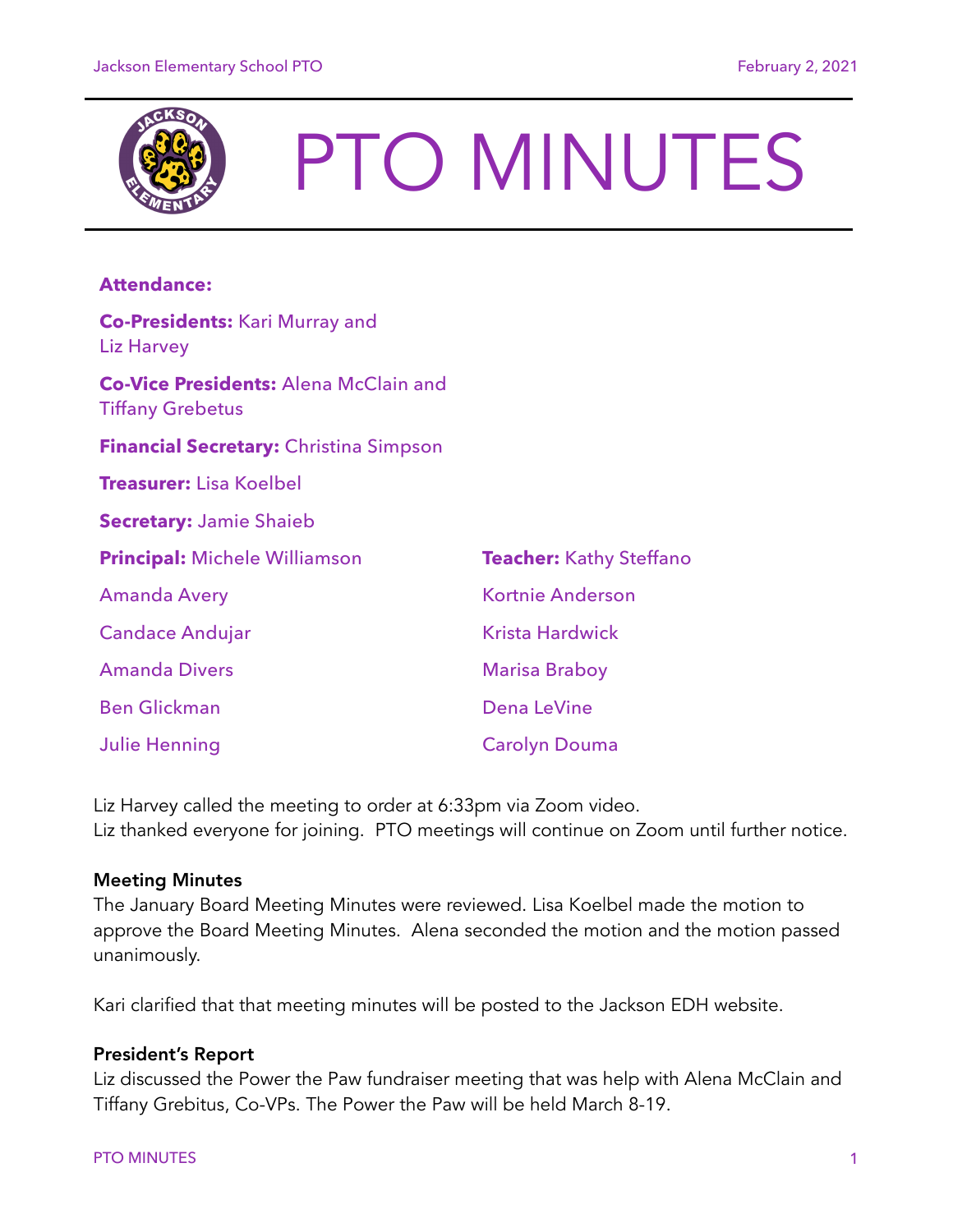

# PTO MINUTES

# **Attendance:**

| <b>Co-Presidents: Kari Murray and</b><br><b>Liz Harvey</b>              |                                |
|-------------------------------------------------------------------------|--------------------------------|
| <b>Co-Vice Presidents: Alena McClain and</b><br><b>Tiffany Grebetus</b> |                                |
| <b>Financial Secretary: Christina Simpson</b>                           |                                |
| <b>Treasurer:</b> Lisa Koelbel                                          |                                |
| <b>Secretary: Jamie Shaieb</b>                                          |                                |
| <b>Principal: Michele Williamson</b>                                    | <b>Teacher:</b> Kathy Steffano |
| <b>Amanda Avery</b>                                                     | Kortnie Anderson               |
| <b>Candace Andujar</b>                                                  | <b>Krista Hardwick</b>         |
| <b>Amanda Divers</b>                                                    | <b>Marisa Braboy</b>           |
| <b>Ben Glickman</b>                                                     | Dena LeVine                    |
| <b>Julie Henning</b>                                                    | <b>Carolyn Douma</b>           |

Liz Harvey called the meeting to order at 6:33pm via Zoom video. Liz thanked everyone for joining. PTO meetings will continue on Zoom until further notice.

### Meeting Minutes

The January Board Meeting Minutes were reviewed. Lisa Koelbel made the motion to approve the Board Meeting Minutes. Alena seconded the motion and the motion passed unanimously.

Kari clarified that that meeting minutes will be posted to the Jackson EDH website.

## President's Report

Liz discussed the Power the Paw fundraiser meeting that was help with Alena McClain and Tiffany Grebitus, Co-VPs. The Power the Paw will be held March 8-19.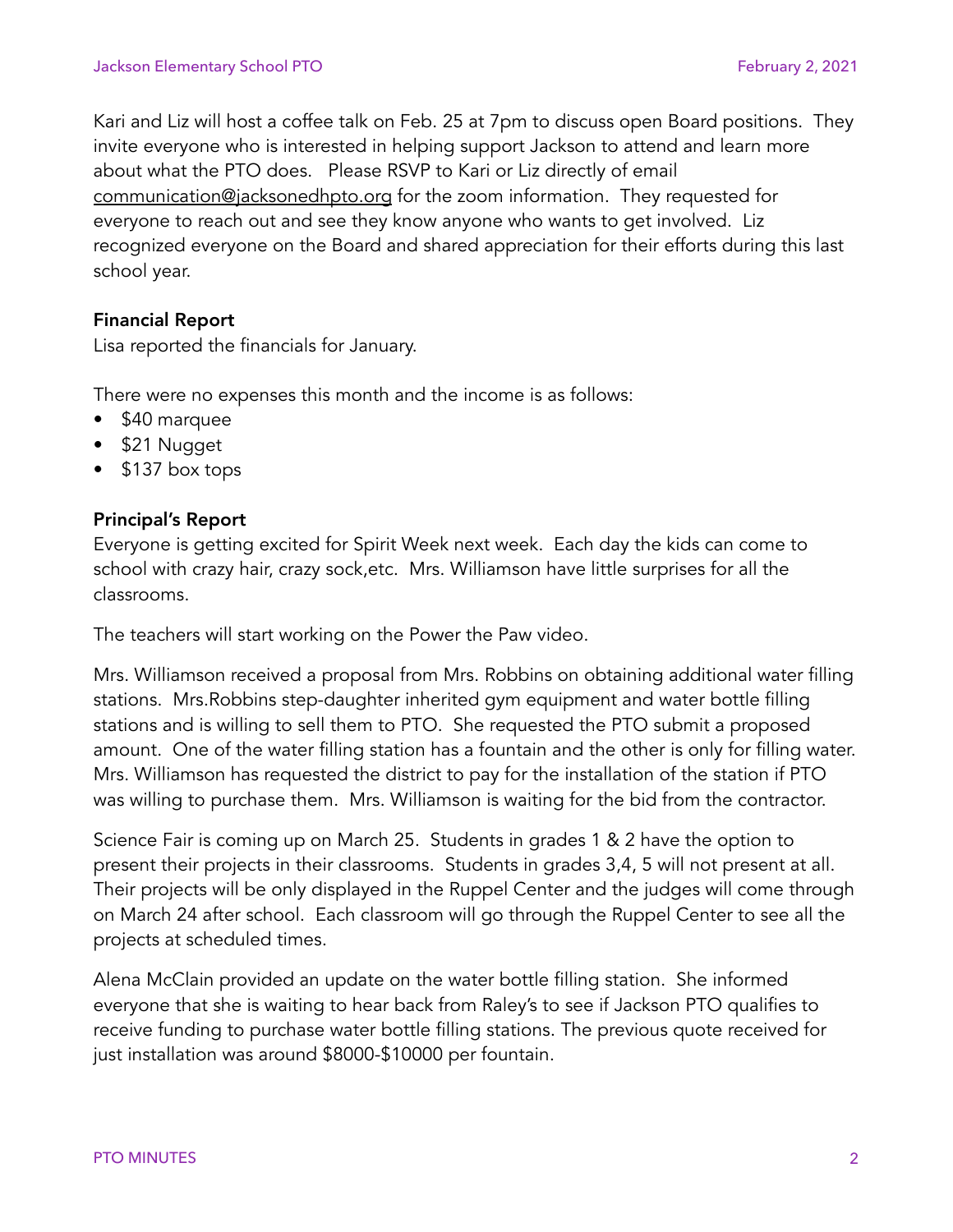Kari and Liz will host a coffee talk on Feb. 25 at 7pm to discuss open Board positions. They invite everyone who is interested in helping support Jackson to attend and learn more about what the PTO does. Please RSVP to Kari or Liz directly of email [communication@jacksonedhpto.org](mailto:communication@jacksonedhpto.org) for the zoom information. They requested for everyone to reach out and see they know anyone who wants to get involved. Liz recognized everyone on the Board and shared appreciation for their efforts during this last school year.

## Financial Report

Lisa reported the financials for January.

There were no expenses this month and the income is as follows:

- \$40 marquee
- \$21 Nugget
- \$137 box tops

## Principal's Report

Everyone is getting excited for Spirit Week next week. Each day the kids can come to school with crazy hair, crazy sock,etc. Mrs. Williamson have little surprises for all the classrooms.

The teachers will start working on the Power the Paw video.

Mrs. Williamson received a proposal from Mrs. Robbins on obtaining additional water filling stations. Mrs.Robbins step-daughter inherited gym equipment and water bottle filling stations and is willing to sell them to PTO. She requested the PTO submit a proposed amount. One of the water filling station has a fountain and the other is only for filling water. Mrs. Williamson has requested the district to pay for the installation of the station if PTO was willing to purchase them. Mrs. Williamson is waiting for the bid from the contractor.

Science Fair is coming up on March 25. Students in grades 1 & 2 have the option to present their projects in their classrooms. Students in grades 3,4, 5 will not present at all. Their projects will be only displayed in the Ruppel Center and the judges will come through on March 24 after school. Each classroom will go through the Ruppel Center to see all the projects at scheduled times.

Alena McClain provided an update on the water bottle filling station. She informed everyone that she is waiting to hear back from Raley's to see if Jackson PTO qualifies to receive funding to purchase water bottle filling stations. The previous quote received for just installation was around \$8000-\$10000 per fountain.